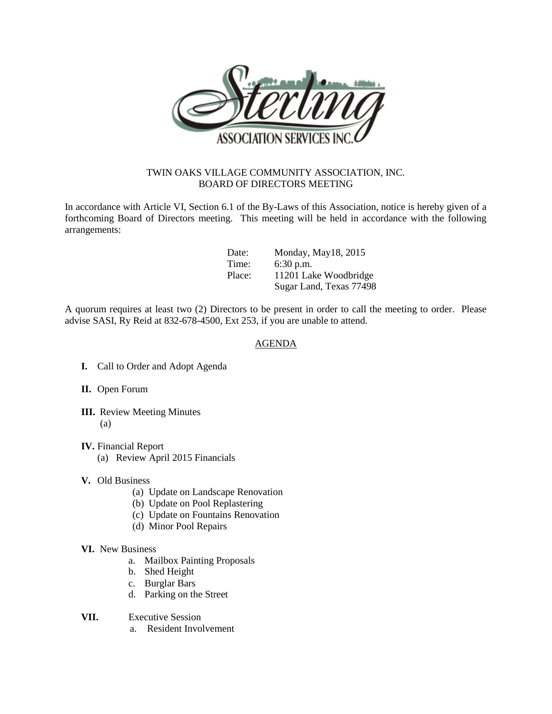

## TWIN OAKS VILLAGE COMMUNITY ASSOCIATION, INC. BOARD OF DIRECTORS MEETING

In accordance with Article VI, Section 6.1 of the By-Laws of this Association, notice is hereby given of a forthcoming Board of Directors meeting. This meeting will be held in accordance with the following arrangements:

| Date:  | Monday, May18, 2015     |
|--------|-------------------------|
| Time:  | $6:30$ p.m.             |
| Place: | 11201 Lake Woodbridge   |
|        | Sugar Land, Texas 77498 |

A quorum requires at least two (2) Directors to be present in order to call the meeting to order. Please advise SASI, Ry Reid at 832-678-4500, Ext 253, if you are unable to attend.

## AGENDA

- **I.** Call to Order and Adopt Agenda
- **II.** Open Forum
- **III.** Review Meeting Minutes (a)
- **IV.** Financial Report (a) Review April 2015 Financials
- **V.** Old Business
	- (a) Update on Landscape Renovation
	- (b) Update on Pool Replastering
	- (c) Update on Fountains Renovation
	- (d) Minor Pool Repairs
- **VI.** New Business
	- a. Mailbox Painting Proposals
	- b. Shed Height
	- c. Burglar Bars
	- d. Parking on the Street
- **VII.** Executive Session
	- a. Resident Involvement